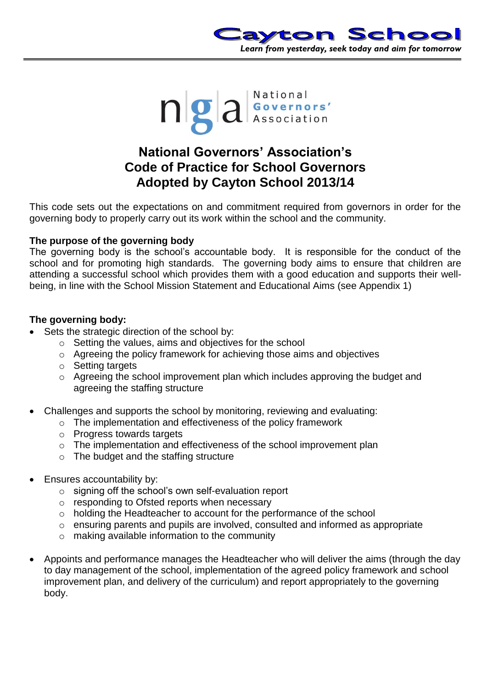



# **National Governors' Association's Code of Practice for School Governors Adopted by Cayton School 2013/14**

This code sets out the expectations on and commitment required from governors in order for the governing body to properly carry out its work within the school and the community.

### **The purpose of the governing body**

The governing body is the school's accountable body. It is responsible for the conduct of the school and for promoting high standards. The governing body aims to ensure that children are attending a successful school which provides them with a good education and supports their wellbeing, in line with the School Mission Statement and Educational Aims (see Appendix 1)

### **The governing body:**

- Sets the strategic direction of the school by:
	- o Setting the values, aims and objectives for the school
	- o Agreeing the policy framework for achieving those aims and objectives
	- o Setting targets
	- o Agreeing the school improvement plan which includes approving the budget and agreeing the staffing structure
- Challenges and supports the school by monitoring, reviewing and evaluating:
	- o The implementation and effectiveness of the policy framework
	- o Progress towards targets
	- o The implementation and effectiveness of the school improvement plan
	- o The budget and the staffing structure
- Ensures accountability by:
	- o signing off the school's own self-evaluation report
	- o responding to Ofsted reports when necessary
	- o holding the Headteacher to account for the performance of the school
	- o ensuring parents and pupils are involved, consulted and informed as appropriate
	- o making available information to the community
- Appoints and performance manages the Headteacher who will deliver the aims (through the day to day management of the school, implementation of the agreed policy framework and school improvement plan, and delivery of the curriculum) and report appropriately to the governing body.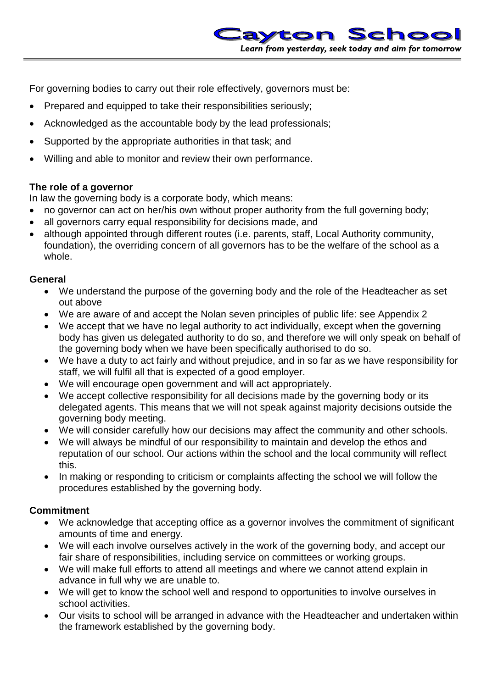For governing bodies to carry out their role effectively, governors must be:

- Prepared and equipped to take their responsibilities seriously;
- Acknowledged as the accountable body by the lead professionals;
- Supported by the appropriate authorities in that task; and
- Willing and able to monitor and review their own performance.

## **The role of a governor**

In law the governing body is a corporate body, which means:

- no governor can act on her/his own without proper authority from the full governing body;
- all governors carry equal responsibility for decisions made, and
- although appointed through different routes (i.e. parents, staff, Local Authority community, foundation), the overriding concern of all governors has to be the welfare of the school as a whole.

## **General**

- We understand the purpose of the governing body and the role of the Headteacher as set out above
- We are aware of and accept the Nolan seven principles of public life: see Appendix 2
- We accept that we have no legal authority to act individually, except when the governing body has given us delegated authority to do so, and therefore we will only speak on behalf of the governing body when we have been specifically authorised to do so.
- We have a duty to act fairly and without prejudice, and in so far as we have responsibility for staff, we will fulfil all that is expected of a good employer.
- We will encourage open government and will act appropriately.
- We accept collective responsibility for all decisions made by the governing body or its delegated agents. This means that we will not speak against majority decisions outside the governing body meeting.
- We will consider carefully how our decisions may affect the community and other schools.
- We will always be mindful of our responsibility to maintain and develop the ethos and reputation of our school. Our actions within the school and the local community will reflect this.
- In making or responding to criticism or complaints affecting the school we will follow the procedures established by the governing body.

# **Commitment**

- We acknowledge that accepting office as a governor involves the commitment of significant amounts of time and energy.
- We will each involve ourselves actively in the work of the governing body, and accept our fair share of responsibilities, including service on committees or working groups.
- We will make full efforts to attend all meetings and where we cannot attend explain in advance in full why we are unable to.
- We will get to know the school well and respond to opportunities to involve ourselves in school activities.
- Our visits to school will be arranged in advance with the Headteacher and undertaken within the framework established by the governing body.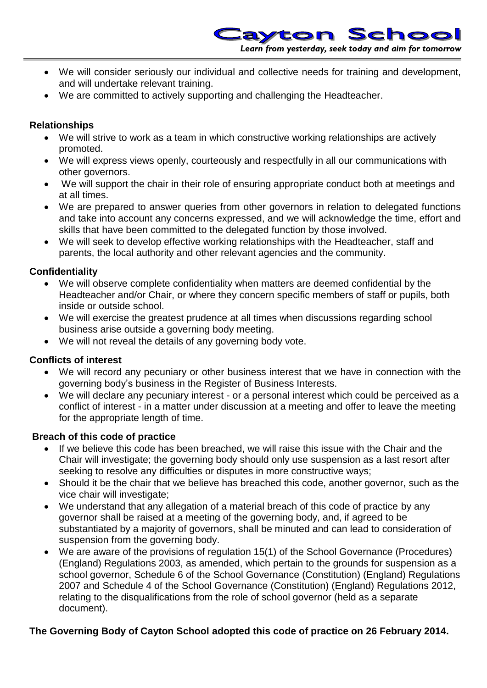- We will consider seriously our individual and collective needs for training and development, and will undertake relevant training.
- We are committed to actively supporting and challenging the Headteacher.

## **Relationships**

- We will strive to work as a team in which constructive working relationships are actively promoted.
- We will express views openly, courteously and respectfully in all our communications with other governors.
- We will support the chair in their role of ensuring appropriate conduct both at meetings and at all times.
- We are prepared to answer queries from other governors in relation to delegated functions and take into account any concerns expressed, and we will acknowledge the time, effort and skills that have been committed to the delegated function by those involved.
- We will seek to develop effective working relationships with the Headteacher, staff and parents, the local authority and other relevant agencies and the community.

## **Confidentiality**

- We will observe complete confidentiality when matters are deemed confidential by the Headteacher and/or Chair, or where they concern specific members of staff or pupils, both inside or outside school.
- We will exercise the greatest prudence at all times when discussions regarding school business arise outside a governing body meeting.
- We will not reveal the details of any governing body vote.

## **Conflicts of interest**

- We will record any pecuniary or other business interest that we have in connection with the governing body's business in the Register of Business Interests.
- We will declare any pecuniary interest or a personal interest which could be perceived as a conflict of interest - in a matter under discussion at a meeting and offer to leave the meeting for the appropriate length of time.

## **Breach of this code of practice**

- If we believe this code has been breached, we will raise this issue with the Chair and the Chair will investigate; the governing body should only use suspension as a last resort after seeking to resolve any difficulties or disputes in more constructive ways;
- Should it be the chair that we believe has breached this code, another governor, such as the vice chair will investigate;
- We understand that any allegation of a material breach of this code of practice by any governor shall be raised at a meeting of the governing body, and, if agreed to be substantiated by a majority of governors, shall be minuted and can lead to consideration of suspension from the governing body.
- We are aware of the provisions of regulation 15(1) of the School Governance (Procedures) (England) Regulations 2003, as amended, which pertain to the grounds for suspension as a school governor, Schedule 6 of the School Governance (Constitution) (England) Regulations 2007 and Schedule 4 of the School Governance (Constitution) (England) Regulations 2012, relating to the disqualifications from the role of school governor (held as a separate document).

## **The Governing Body of Cayton School adopted this code of practice on 26 February 2014.**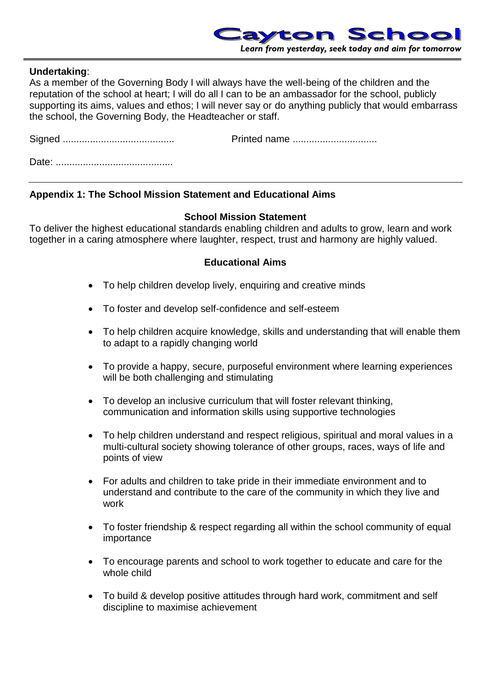

#### **Undertaking**:

As a member of the Governing Body I will always have the well-being of the children and the reputation of the school at heart; I will do all I can to be an ambassador for the school, publicly supporting its aims, values and ethos; I will never say or do anything publicly that would embarrass the school, the Governing Body, the Headteacher or staff.

Signed ......................................... Printed name ............................... Date: ...........................................

# **Appendix 1: The School Mission Statement and Educational Aims**

#### **School Mission Statement**

To deliver the highest educational standards enabling children and adults to grow, learn and work together in a caring atmosphere where laughter, respect, trust and harmony are highly valued.

#### **Educational Aims**

- To help children develop lively, enquiring and creative minds
- To foster and develop self-confidence and self-esteem
- To help children acquire knowledge, skills and understanding that will enable them to adapt to a rapidly changing world
- To provide a happy, secure, purposeful environment where learning experiences will be both challenging and stimulating
- To develop an inclusive curriculum that will foster relevant thinking, communication and information skills using supportive technologies
- To help children understand and respect religious, spiritual and moral values in a multi-cultural society showing tolerance of other groups, races, ways of life and points of view
- For adults and children to take pride in their immediate environment and to understand and contribute to the care of the community in which they live and work
- To foster friendship & respect regarding all within the school community of equal importance
- To encourage parents and school to work together to educate and care for the whole child
- To build & develop positive attitudes through hard work, commitment and self discipline to maximise achievement